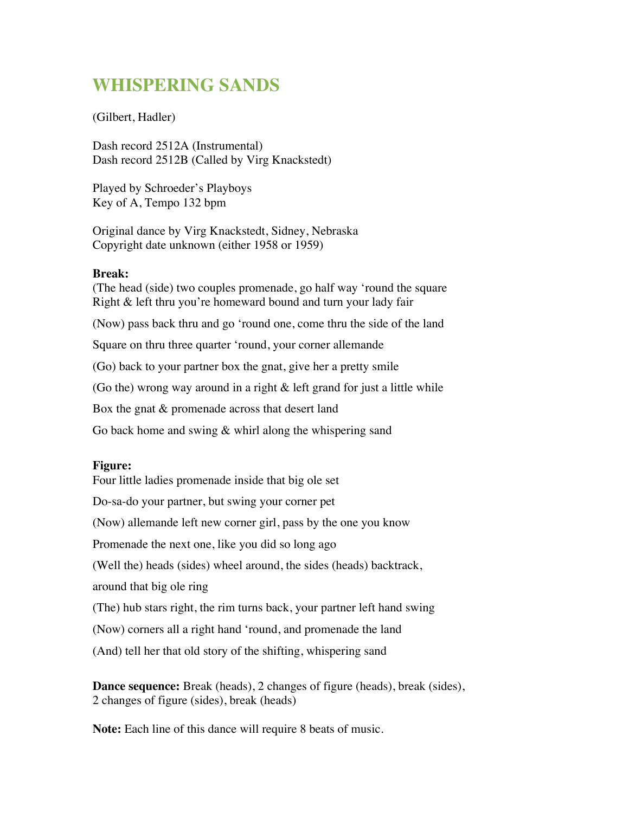## **WHISPERING SANDS**

## (Gilbert, Hadler)

Dash record 2512A (Instrumental) Dash record 2512B (Called by Virg Knackstedt)

Played by Schroeder's Playboys Key of A, Tempo 132 bpm

Original dance by Virg Knackstedt, Sidney, Nebraska Copyright date unknown (either 1958 or 1959)

## **Break:**

(The head (side) two couples promenade, go half way 'round the square Right & left thru you're homeward bound and turn your lady fair (Now) pass back thru and go 'round one, come thru the side of the land Square on thru three quarter 'round, your corner allemande (Go) back to your partner box the gnat, give her a pretty smile (Go the) wrong way around in a right  $\&$  left grand for just a little while Box the gnat & promenade across that desert land Go back home and swing & whirl along the whispering sand

## **Figure:**

Four little ladies promenade inside that big ole set Do-sa-do your partner, but swing your corner pet (Now) allemande left new corner girl, pass by the one you know Promenade the next one, like you did so long ago (Well the) heads (sides) wheel around, the sides (heads) backtrack, around that big ole ring (The) hub stars right, the rim turns back, your partner left hand swing (Now) corners all a right hand 'round, and promenade the land (And) tell her that old story of the shifting, whispering sand

**Dance sequence:** Break (heads), 2 changes of figure (heads), break (sides), 2 changes of figure (sides), break (heads)

**Note:** Each line of this dance will require 8 beats of music.